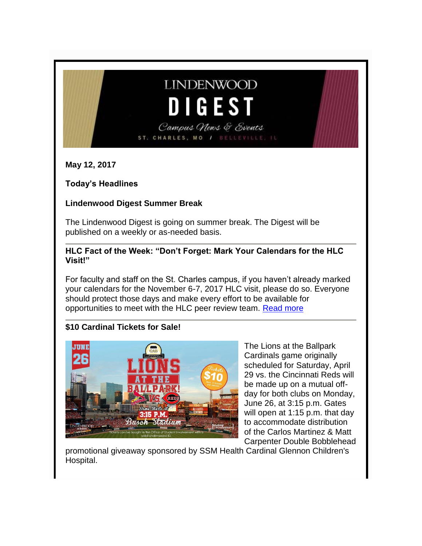# **LINDENWOOD** DIGEST

Campus News & Events ST. CHARLES, MO / BELLEVILLE,

**May 12, 2017**

**Today's Headlines**

## **Lindenwood Digest Summer Break**

The Lindenwood Digest is going on summer break. The Digest will be published on a weekly or as-needed basis.

**HLC Fact of the Week: "Don't Forget: Mark Your Calendars for the HLC Visit!"** 

For faculty and staff on the St. Charles campus, if you haven't already marked your calendars for the November 6-7, 2017 HLC visit, please do so. Everyone should protect those days and make every effort to be available for opportunities to meet with the HLC peer review team. [Read more](http://felix.lindenwood.edu/newsletter/2017_05/fact_05_12.pdf)

# **\$10 Cardinal Tickets for Sale!**



The Lions at the Ballpark Cardinals game originally scheduled for Saturday, April 29 vs. the Cincinnati Reds will be made up on a mutual offday for both clubs on Monday, June 26, at 3:15 p.m. Gates will open at 1:15 p.m. that day to accommodate distribution of the Carlos Martinez & Matt Carpenter Double Bobblehead

promotional giveaway sponsored by SSM Health Cardinal Glennon Children's Hospital.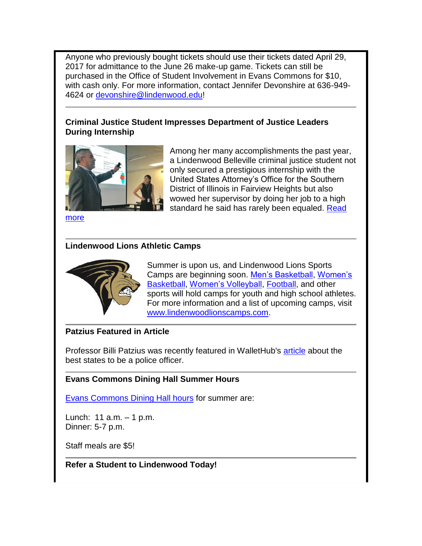Anyone who previously bought tickets should use their tickets dated April 29, 2017 for admittance to the June 26 make-up game. Tickets can still be purchased in the Office of Student Involvement in Evans Commons for \$10, with cash only. For more information, contact Jennifer Devonshire at 636-949- 4624 or [devonshire@lindenwood.edu!](mailto:jdevonshire@lindenwood.edu)

#### **Criminal Justice Student Impresses Department of Justice Leaders During Internship**



Among her many accomplishments the past year, a Lindenwood Belleville criminal justice student not only secured a prestigious internship with the United States Attorney's Office for the Southern District of Illinois in Fairview Heights but also wowed her supervisor by doing her job to a high standard he said has rarely been equaled. Read

[more](http://www.lindenwood.edu/belleville/about/news/details/criminal-justice-student-impresses-department-of-justice-leaders-during-internship/)

#### **Lindenwood Lions Athletic Camps**



Summer is upon us, and Lindenwood Lions Sports Camps are beginning soon. [Men's Basketball,](http://mensbasketball.lindenwoodlionscamps.com/) [Women's](http://womensbasketball.lindenwoodlionscamps.com/)  [Basketball,](http://womensbasketball.lindenwoodlionscamps.com/) [Women's Volleyball,](http://womensvolleyball.lindenwoodlionscamps.com/) [Football,](http://football.lindenwoodlionscamps.com/) and other sports will hold camps for youth and high school athletes. For more information and a list of upcoming camps, visit [www.lindenwoodlionscamps.com.](www.lindenwoodlionscamps.com)

#### **Patzius Featured in Article**

Professor Billi Patzius was recently featured in WalletHub's [article](https://wallethub.com/edu/best-states-to-be-a-cop/34669/#billi-patzius) about the best states to be a police officer.

#### **Evans Commons Dining Hall Summer Hours**

[Evans Commons Dining Hall hours](http://felix.lindenwood.edu/newsletter/2017_05/summerdininghours.jpg) for summer are:

Lunch: 11 a.m. – 1 p.m. Dinner: 5-7 p.m.

Staff meals are \$5!

#### **Refer a Student to Lindenwood Today!**